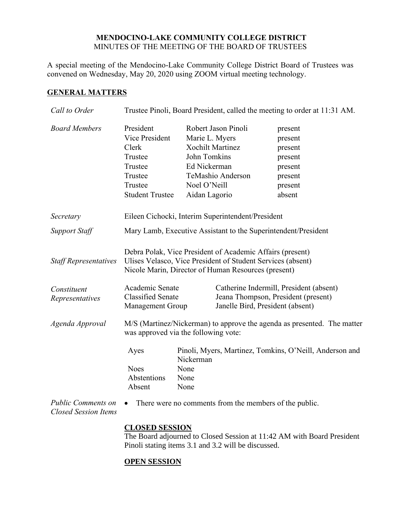## **MENDOCINO-LAKE COMMUNITY COLLEGE DISTRICT** MINUTES OF THE MEETING OF THE BOARD OF TRUSTEES

A special meeting of the Mendocino-Lake Community College District Board of Trustees was convened on Wednesday, May 20, 2020 using ZOOM virtual meeting technology.

## **GENERAL MATTERS**

| Call to Order                  | Trustee Pinoli, Board President, called the meeting to order at 11:31 AM.                                                                                                       |                                                                                                                                                        |                                                                                                                    |                                                                                     |
|--------------------------------|---------------------------------------------------------------------------------------------------------------------------------------------------------------------------------|--------------------------------------------------------------------------------------------------------------------------------------------------------|--------------------------------------------------------------------------------------------------------------------|-------------------------------------------------------------------------------------|
| <b>Board Members</b>           | President<br>Vice President<br>Clerk<br>Trustee<br>Trustee<br>Trustee<br>Trustee<br><b>Student Trustee</b>                                                                      | Marie L. Myers<br>John Tomkins<br>Ed Nickerman<br>Noel O'Neill<br>Aidan Lagorio                                                                        | Robert Jason Pinoli<br><b>Xochilt Martinez</b><br>TeMashio Anderson                                                | present<br>present<br>present<br>present<br>present<br>present<br>present<br>absent |
| Secretary                      | Eileen Cichocki, Interim Superintendent/President                                                                                                                               |                                                                                                                                                        |                                                                                                                    |                                                                                     |
| <b>Support Staff</b>           | Mary Lamb, Executive Assistant to the Superintendent/President                                                                                                                  |                                                                                                                                                        |                                                                                                                    |                                                                                     |
| <b>Staff Representatives</b>   | Debra Polak, Vice President of Academic Affairs (present)<br>Ulises Velasco, Vice President of Student Services (absent)<br>Nicole Marin, Director of Human Resources (present) |                                                                                                                                                        |                                                                                                                    |                                                                                     |
| Constituent<br>Representatives | Academic Senate<br><b>Classified Senate</b><br><b>Management Group</b>                                                                                                          |                                                                                                                                                        | Catherine Indermill, President (absent)<br>Jeana Thompson, President (present)<br>Janelle Bird, President (absent) |                                                                                     |
| Agenda Approval                | M/S (Martinez/Nickerman) to approve the agenda as presented. The matter<br>was approved via the following vote:                                                                 |                                                                                                                                                        |                                                                                                                    |                                                                                     |
| <b>Public Comments on</b>      | Ayes<br><b>Noes</b><br>Abstentions<br>Absent                                                                                                                                    | Pinoli, Myers, Martinez, Tomkins, O'Neill, Anderson and<br>Nickerman<br>None<br>None<br>None<br>There were no comments from the members of the public. |                                                                                                                    |                                                                                     |
| <b>Closed Session Items</b>    |                                                                                                                                                                                 |                                                                                                                                                        |                                                                                                                    |                                                                                     |

## **CLOSED SESSION**

The Board adjourned to Closed Session at 11:42 AM with Board President Pinoli stating items 3.1 and 3.2 will be discussed.

## **OPEN SESSION**